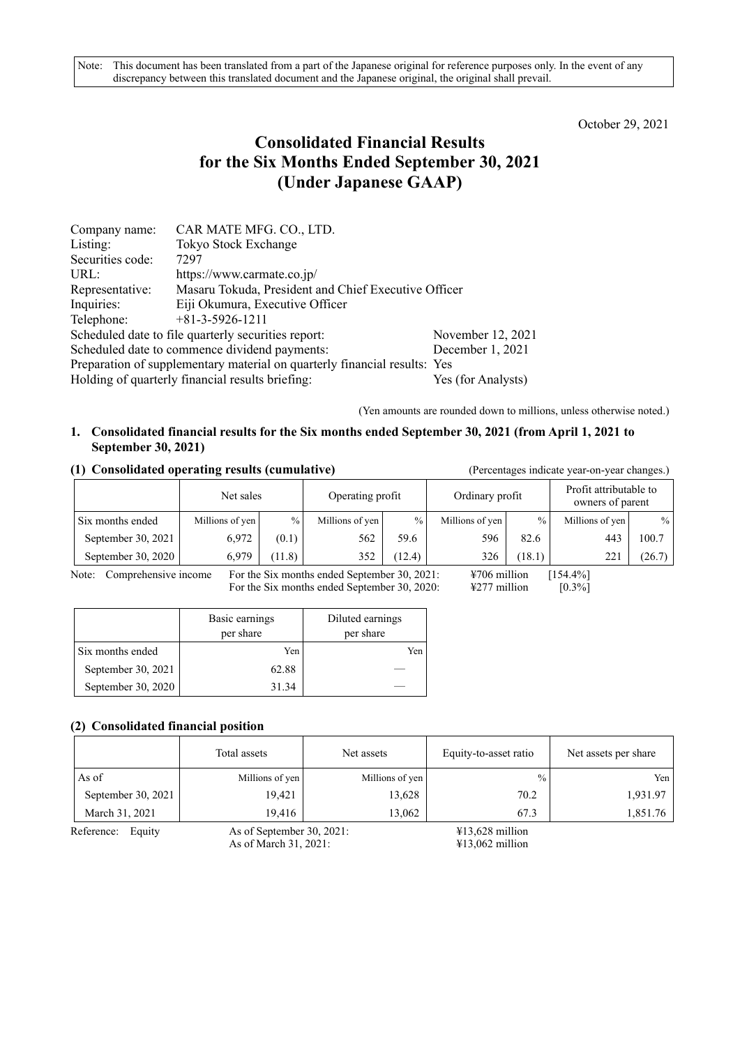Note: This document has been translated from a part of the Japanese original for reference purposes only. In the event of any discrepancy between this translated document and the Japanese original, the original shall prevail.

October 29, 2021

# **Consolidated Financial Results for the Six Months Ended September 30, 2021 (Under Japanese GAAP)**

| Company name:    | CAR MATE MFG. CO., LTD.                                                   |                    |
|------------------|---------------------------------------------------------------------------|--------------------|
| Listing:         | Tokyo Stock Exchange                                                      |                    |
| Securities code: | 7297                                                                      |                    |
| URL:             | https://www.carmate.co.jp/                                                |                    |
| Representative:  | Masaru Tokuda, President and Chief Executive Officer                      |                    |
| Inquiries:       | Eiji Okumura, Executive Officer                                           |                    |
| Telephone:       | $+81-3-5926-1211$                                                         |                    |
|                  | Scheduled date to file quarterly securities report:                       | November 12, 2021  |
|                  | Scheduled date to commence dividend payments:                             | December 1, 2021   |
|                  | Preparation of supplementary material on quarterly financial results: Yes |                    |
|                  | Holding of quarterly financial results briefing:                          | Yes (for Analysts) |

(Yen amounts are rounded down to millions, unless otherwise noted.)

#### **1. Consolidated financial results for the Six months ended September 30, 2021 (from April 1, 2021 to September 30, 2021)**

| (1) Consolidated operating results (cumulative) |                 |               |                  | (Percentages indicate year-on-year changes.) |                 |        |                                            |        |
|-------------------------------------------------|-----------------|---------------|------------------|----------------------------------------------|-----------------|--------|--------------------------------------------|--------|
|                                                 | Net sales       |               | Operating profit |                                              | Ordinary profit |        | Profit attributable to<br>owners of parent |        |
| Six months ended                                | Millions of yen | $\frac{0}{0}$ | Millions of yen  | $\frac{0}{6}$                                | Millions of yen | $\%$   | Millions of yen                            | $\%$   |
| September 30, 2021                              | 6.972           | (0.1)         | 562              | 59.6                                         | 596             | 82.6   | 443                                        | 100.7  |
| September 30, 2020                              | 6.979           | (11.8)        | 352              | (12.4)                                       | 326             | (18.1) | 221                                        | (26.7) |

Note: Comprehensive income For the Six months ended September 30, 2021:  $\text{\textsterling}706$  million [154.4%] For the Six months ended September 30, 2020: ¥277 million [0.3%]

|                    | Basic earnings<br>per share | Diluted earnings<br>per share |
|--------------------|-----------------------------|-------------------------------|
| Six months ended   | Yen                         | Yen                           |
| September 30, 2021 | 62.88                       |                               |
| September 30, 2020 | 31.34                       |                               |

## **(2) Consolidated financial position**

|                    | Total assets    | Net assets      | Equity-to-asset ratio | Net assets per share |
|--------------------|-----------------|-----------------|-----------------------|----------------------|
| As of              | Millions of yen | Millions of yen | $\frac{0}{0}$         | Yen                  |
| September 30, 2021 | 19,421          | 13,628          | 70.2                  | 1,931.97             |
| March 31, 2021     | 19.416          | 13.062          | 67.3                  | 1,851.76             |

Reference: Equity As of September 30, 2021: ¥13,628 million As of March 31, 2021: ¥13,062 million